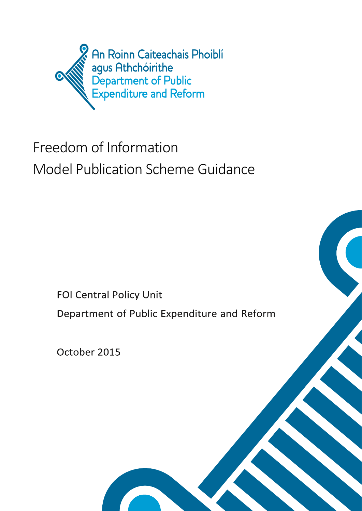

# Freedom of Information Model Publication Scheme Guidance

**FOI Central Policy Unit** 

Department of Public Expenditure and Reform

October 2015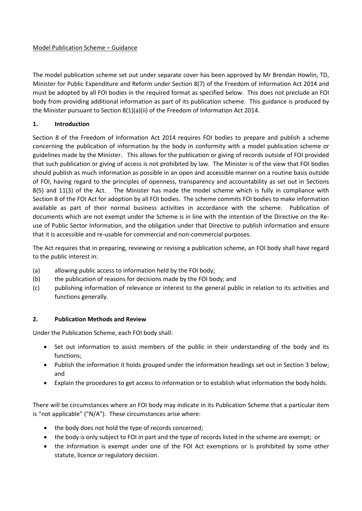## Model Publication Scheme – Guidance

The model publication scheme set out under separate cover has been approved by Mr Brendan Howlin, TD, Minister for Public Expenditure and Reform under Section 8(7) of the Freedom of Information Act 2014 and must be adopted by all FOI bodies in the required format as specified below. This does not preclude an FOI body from providing additional information as part of its publication scheme. This guidance is produced by the Minister pursuant to Section 8(1)(a)(ii) of the Freedom of Information Act 2014.

# **1. Introduction**

Section 8 of the Freedom of Information Act 2014 requires FOI bodies to prepare and publish a scheme concerning the publication of information by the body in conformity with a model publication scheme or guidelines made by the Minister. This allows for the publication or giving of records outside of FOI provided that such publication or giving of access is not prohibited by law. The Minister is of the view that FOI bodies should publish as much information as possible in an open and accessible manner on a routine basis outside of FOI, having regard to the principles of openness, transparency and accountability as set out in Sections 8(5) and 11(3) of the Act. The Minister has made the model scheme which is fully in compliance with Section 8 of the FOI Act for adoption by all FOI bodies. The scheme commits FOI bodies to make information available as part of their normal business activities in accordance with the scheme. Publication of documents which are not exempt under the Scheme is in line with the intention of the Directive on the Reuse of Public Sector Information, and the obligation under that Directive to publish information and ensure that it is accessible and re-usable for commercial and non-commercial purposes.

The Act requires that in preparing, reviewing or revising a publication scheme, an FOI body shall have regard to the public interest in:

- (a) allowing public access to information held by the FOI body;
- (b) the publication of reasons for decisions made by the FOI body; and
- (c) publishing information of relevance or interest to the general public in relation to its activities and functions generally.

# **2. Publication Methods and Review**

Under the Publication Scheme, each FOI body shall:

- Set out information to assist members of the public in their understanding of the body and its functions;
- Publish the information it holds grouped under the information headings set out in Section 3 below; and
- Explain the procedures to get access to information or to establish what information the body holds.

There will be circumstances where an FOI body may indicate in its Publication Scheme that a particular item is "not applicable" ("N/A"). These circumstances arise where:

- the body does not hold the type of records concerned;
- the body is only subject to FOI in part and the type of records listed in the scheme are exempt; or
- the information is exempt under one of the FOI Act exemptions or is prohibited by some other statute, licence or regulatory decision.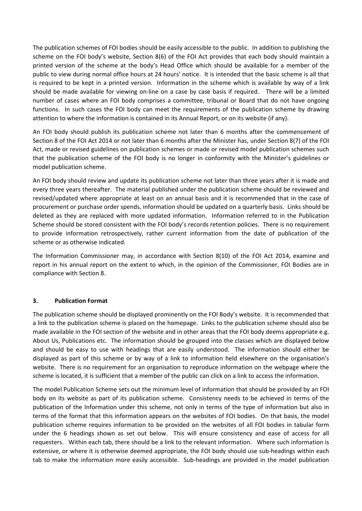The publication schemes of FOI bodies should be easily accessible to the public. In addition to publishing the scheme on the FOI body's website, Section 8(6) of the FOI Act provides that each body should maintain a printed version of the scheme at the body's Head Office which should be available for a member of the public to view during normal office hours at 24 hours' notice. It is intended that the basic scheme is all that is required to be kept in a printed version. Information in the scheme which is available by way of a link should be made available for viewing on-line on a case by case basis if required. There will be a limited number of cases where an FOI body comprises a committee, tribunal or Board that do not have ongoing functions. In such cases the FOI body can meet the requirements of the publication scheme by drawing attention to where the information is contained in its Annual Report, or on its website (if any).

An FOI body should publish its publication scheme not later than 6 months after the commencement of Section 8 of the FOI Act 2014 or not later than 6 months after the Minister has, under Section 8(7) of the FOI Act, made or revised guidelines on publication schemes or made or revised model publication schemes such that the publication scheme of the FOI body is no longer in conformity with the Minister's guidelines or model publication scheme.

An FOI body should review and update its publication scheme not later than three years after it is made and every three years thereafter. The material published under the publication scheme should be reviewed and revised/updated where appropriate at least on an annual basis and it is recommended that in the case of procurement or purchase order spends, information should be updated on a quarterly basis. Links should be deleted as they are replaced with more updated information. Information referred to in the Publication Scheme should be stored consistent with the FOI body's records retention policies. There is no requirement to provide information retrospectively, rather current information from the date of publication of the scheme or as otherwise indicated.

The Information Commissioner may, in accordance with Section 8(10) of the FOI Act 2014, examine and report in his annual report on the extent to which, in the opinion of the Commissioner, FOI Bodies are in compliance with Section 8.

# **3. Publication Format**

The publication scheme should be displayed prominently on the FOI Body's website. It is recommended that a link to the publication scheme is placed on the homepage. Links to the publication scheme should also be made available in the FOI section of the website and in other areas that the FOI body deems appropriate e.g. About Us, Publications etc. The information should be grouped into the classes which are displayed below and should be easy to use with headings that are easily understood. The information should either be displayed as part of this scheme or by way of a link to information held elsewhere on the organisation's website. There is no requirement for an organisation to reproduce information on the webpage where the scheme is located, it is sufficient that a member of the public can click on a link to access the information.

The model Publication Scheme sets out the minimum level of information that should be provided by an FOI body on its website as part of its publication scheme. Consistency needs to be achieved in terms of the publication of the Information under this scheme, not only in terms of the type of information but also in terms of the format that this information appears on the websites of FOI bodies. On that basis, the model publication scheme requires information to be provided on the websites of all FOI bodies in tabular form under the 6 headings shown as set out below. This will ensure consistency and ease of access for all requesters. Within each tab, there should be a link to the relevant information. Where such information is extensive, or where it is otherwise deemed appropriate, the FOI body should use sub-headings within each tab to make the information more easily accessible. Sub-headings are provided in the model publication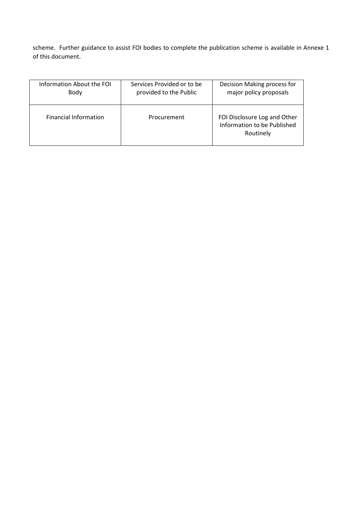scheme. Further guidance to assist FOI bodies to complete the publication scheme is available in Annexe 1 of this document.

| Information About the FOI    | Services Provided or to be | Decision Making process for                                              |
|------------------------------|----------------------------|--------------------------------------------------------------------------|
| Body                         | provided to the Public     | major policy proposals                                                   |
| <b>Financial Information</b> | Procurement                | FOI Disclosure Log and Other<br>Information to be Published<br>Routinely |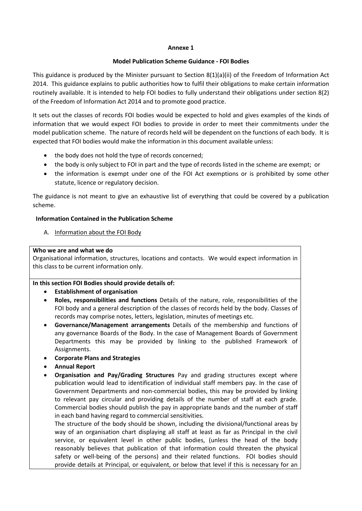#### **Annexe 1**

## **Model Publication Scheme Guidance - FOI Bodies**

This guidance is produced by the Minister pursuant to Section 8(1)(a)(ii) of the Freedom of Information Act 2014. This guidance explains to public authorities how to fulfil their obligations to make certain information routinely available. It is intended to help FOI bodies to fully understand their obligations under section 8(2) of the Freedom of Information Act 2014 and to promote good practice.

It sets out the classes of records FOI bodies would be expected to hold and gives examples of the kinds of information that we would expect FOI bodies to provide in order to meet their commitments under the model publication scheme. The nature of records held will be dependent on the functions of each body. It is expected that FOI bodies would make the information in this document available unless:

- the body does not hold the type of records concerned;
- the body is only subject to FOI in part and the type of records listed in the scheme are exempt; or
- the information is exempt under one of the FOI Act exemptions or is prohibited by some other statute, licence or regulatory decision.

The guidance is not meant to give an exhaustive list of everything that could be covered by a publication scheme.

## **Information Contained in the Publication Scheme**

A. Information about the FOI Body

## **Who we are and what we do**

Organisational information, structures, locations and contacts. We would expect information in this class to be current information only.

# **In this section FOI Bodies should provide details of:**

- **Establishment of organisation**
- **Roles, responsibilities and functions** Details of the nature, role, responsibilities of the FOI body and a general description of the classes of records held by the body. Classes of records may comprise notes, letters, legislation, minutes of meetings etc.
- **Governance/Management arrangements** Details of the membership and functions of any governance Boards of the Body. In the case of Management Boards of Government Departments this may be provided by linking to the published Framework of Assignments.
- **Corporate Plans and Strategies**
- **Annual Report**
- **Organisation and Pay/Grading Structures** Pay and grading structures except where publication would lead to identification of individual staff members pay. In the case of Government Departments and non-commercial bodies, this may be provided by linking to relevant pay circular and providing details of the number of staff at each grade. Commercial bodies should publish the pay in appropriate bands and the number of staff in each band having regard to commercial sensitivities.

The structure of the body should be shown, including the divisional/functional areas by way of an organisation chart displaying all staff at least as far as Principal in the civil service, or equivalent level in other public bodies, (unless the head of the body reasonably believes that publication of that information could threaten the physical safety or well-being of the persons) and their related functions. FOI bodies should provide details at Principal, or equivalent, or below that level if this is necessary for an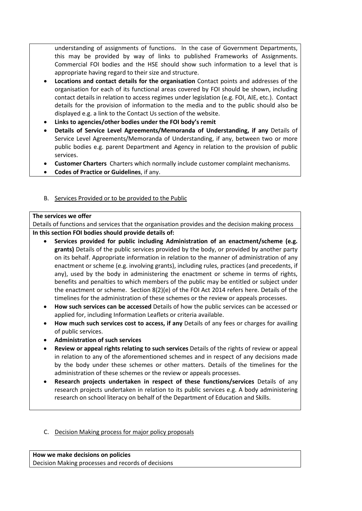understanding of assignments of functions. In the case of Government Departments, this may be provided by way of links to published Frameworks of Assignments. Commercial FOI bodies and the HSE should show such information to a level that is appropriate having regard to their size and structure.

- **Locations and contact details for the organisation** Contact points and addresses of the organisation for each of its functional areas covered by FOI should be shown, including contact details in relation to access regimes under legislation (e.g. FOI, AIE, etc.). Contact details for the provision of information to the media and to the public should also be displayed e.g. a link to the Contact Us section of the website.
- **Links to agencies/other bodies under the FOI body's remit**
- **Details of Service Level Agreements/Memoranda of Understanding, if any** Details of Service Level Agreements/Memoranda of Understanding, if any, between two or more public bodies e.g. parent Department and Agency in relation to the provision of public services.
- **Customer Charters** Charters which normally include customer complaint mechanisms.
- **Codes of Practice or Guidelines**, if any.

# B. Services Provided or to be provided to the Public

## **The services we offer**

Details of functions and services that the organisation provides and the decision making process **In this section FOI bodies should provide details of:**

- **Services provided for public including Administration of an enactment/scheme (e.g. grants)** Details of the public services provided by the body, or provided by another party on its behalf. Appropriate information in relation to the manner of administration of any enactment or scheme (e.g. involving grants), including rules, practices (and precedents, if any), used by the body in administering the enactment or scheme in terms of rights, benefits and penalties to which members of the public may be entitled or subject under the enactment or scheme. Section 8(2)(e) of the FOI Act 2014 refers here. Details of the timelines for the administration of these schemes or the review or appeals processes.
- **How such services can be accessed** Details of how the public services can be accessed or applied for, including Information Leaflets or criteria available.
- **How much such services cost to access, if any** Details of any fees or charges for availing of public services.
- **Administration of such services**
- **Review or appeal rights relating to such services** Details of the rights of review or appeal in relation to any of the aforementioned schemes and in respect of any decisions made by the body under these schemes or other matters. Details of the timelines for the administration of these schemes or the review or appeals processes.
- **Research projects undertaken in respect of these functions/services** Details of any research projects undertaken in relation to its public services e.g. A body administering research on school literacy on behalf of the Department of Education and Skills.

# C. Decision Making process for major policy proposals

**How we make decisions on policies** Decision Making processes and records of decisions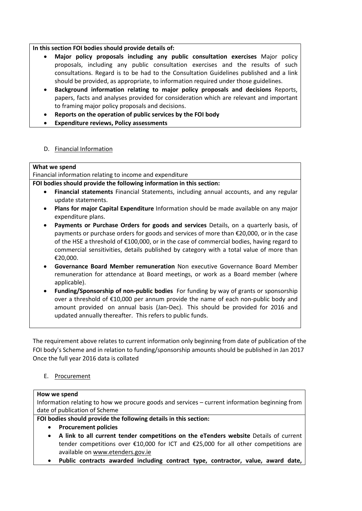## **In this section FOI bodies should provide details of:**

- **Major policy proposals including any public consultation exercises** Major policy proposals, including any public consultation exercises and the results of such consultations. Regard is to be had to the Consultation Guidelines published and a link should be provided, as appropriate, to information required under those guidelines.
- **Background information relating to major policy proposals and decisions** Reports, papers, facts and analyses provided for consideration which are relevant and important to framing major policy proposals and decisions.
- **Reports on the operation of public services by the FOI body**
- **Expenditure reviews, Policy assessments**
- D. Financial Information

## **What we spend**

Financial information relating to income and expenditure

**FOI bodies should provide the following information in this section:**

- **Financial statements** Financial Statements, including annual accounts, and any regular update statements.
- **Plans for major Capital Expenditure** Information should be made available on any major expenditure plans.
- **Payments or Purchase Orders for goods and services** Details, on a quarterly basis, of payments or purchase orders for goods and services of more than €20,000, or in the case of the HSE a threshold of €100,000, or in the case of commercial bodies, having regard to commercial sensitivities, details published by category with a total value of more than €20,000.
- **Governance Board Member remuneration** Non executive Governance Board Member remuneration for attendance at Board meetings, or work as a Board member (where applicable).
- **Funding/Sponsorship of non-public bodies** For funding by way of grants or sponsorship over a threshold of €10,000 per annum provide the name of each non-public body and amount provided on annual basis (Jan-Dec). This should be provided for 2016 and updated annually thereafter. This refers to public funds.

The requirement above relates to current information only beginning from date of publication of the FOI body's Scheme and in relation to funding/sponsorship amounts should be published in Jan 2017 Once the full year 2016 data is collated

# E. Procurement

## **How we spend**

Information relating to how we procure goods and services – current information beginning from date of publication of Scheme

**FOI bodies should provide the following details in this section:**

- **Procurement policies**
- **A link to all current tender competitions on the eTenders website** Details of current tender competitions over €10,000 for ICT and €25,000 for all other competitions are available on [www.etenders.gov.ie](http://www.etenders.gov.ie/)
- **Public contracts awarded including contract type, contractor, value, award date,**